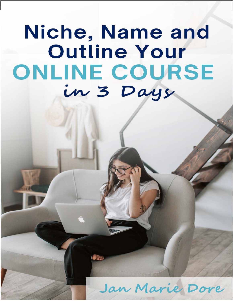# Niche, Name and Outline Your ONLINE COURSE in 3 Days

# Jan Marie Dore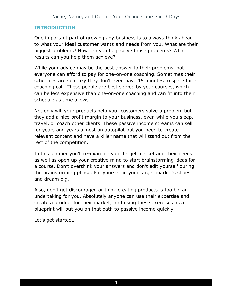#### **INTRODUCTION**

One important part of growing any business is to always think ahead to what your ideal customer wants and needs from you. What are their biggest problems? How can you help solve those problems? What results can you help them achieve?

While your advice may be the best answer to their problems, not everyone can afford to pay for one-on-one coaching. Sometimes their schedules are so crazy they don't even have 15 minutes to spare for a coaching call. These people are best served by your courses, which can be less expensive than one-on-one coaching and can fit into their schedule as time allows.

Not only will your products help your customers solve a problem but they add a nice profit margin to your business, even while you sleep, travel, or coach other clients. These passive income streams can sell for years and years almost on autopilot but you need to create relevant content and have a killer name that will stand out from the rest of the competition.

In this planner you'll re-examine your target market and their needs as well as open up your creative mind to start brainstorming ideas for a course. Don't overthink your answers and don't edit yourself during the brainstorming phase. Put yourself in your target market's shoes and dream big.

Also, don't get discouraged or think creating products is too big an undertaking for you. Absolutely anyone can use their expertise and create a product for their market; and using these exercises as a blueprint will put you on that path to passive income quickly.

Let's get started…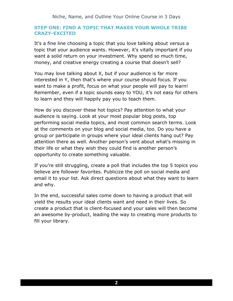#### **STEP ONE: FIND A TOPIC THAT MAKES YOUR WHOLE TRIBE CRAZY-EXCITED**

It's a fine line choosing a topic that you love talking about versus a topic that your audience wants. However, it's vitally important if you want a solid return on your investment. Why spend so much time, money, and creative energy creating a course that doesn't sell?

You may love talking about X, but if your audience is far more interested in Y, then that's where your course should focus. If you want to make a profit, focus on what your people will pay to learn! Remember, even if a topic sounds easy to YOU, it's not easy for others to learn and they will happily pay you to teach them.

How do you discover these hot topics? Pay attention to what your audience is saying. Look at your most popular blog posts, top performing social media topics, and most common search terms. Look at the comments on your blog and social media, too. Do you have a group or participate in groups where your ideal clients hang out? Pay attention there as well. Another person's vent about what's missing in their life or what they wish they could find is another person's opportunity to create something valuable.

If you're still struggling, create a poll that includes the top 5 topics you believe are follower favorites. Publicize the poll on social media and email it to your list. Ask direct questions about what they want to learn and why.

In the end, successful sales come down to having a product that will yield the results your ideal clients want and need in their lives. So create a product that is client-focused and your sales will then become an awesome by-product, leading the way to creating more products to fill your library.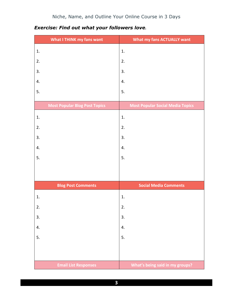| What I THINK my fans want            | What my fans ACTUALLY want              |
|--------------------------------------|-----------------------------------------|
| 1.                                   | 1.                                      |
| 2.                                   | 2.                                      |
| 3.                                   | 3.                                      |
| 4.                                   | 4.                                      |
| 5.                                   | 5.                                      |
|                                      |                                         |
| <b>Most Popular Blog Post Topics</b> | <b>Most Popular Social Media Topics</b> |
| 1.                                   | 1.                                      |
| 2.                                   | 2.                                      |
| 3.                                   | 3.                                      |
| 4.                                   | 4.                                      |
| 5.                                   | 5.                                      |
|                                      |                                         |
|                                      |                                         |
| <b>Blog Post Comments</b>            | <b>Social Media Comments</b>            |
| 1.                                   | 1.                                      |
| 2.                                   | 2.                                      |
| 3.                                   | 3.                                      |
| 4.                                   | 4.                                      |
| 5.                                   | 5.                                      |
|                                      |                                         |
|                                      |                                         |
| <b>Email List Responses</b>          | What's being said in my groups?         |

# *Exercise: Find out what your followers love.*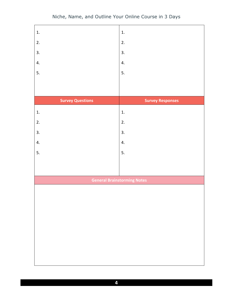| 1.                      | 1.                                 |
|-------------------------|------------------------------------|
| 2.                      | 2.                                 |
| 3.                      | 3.                                 |
| 4.                      | 4.                                 |
| 5.                      | 5.                                 |
|                         |                                    |
|                         |                                    |
| <b>Survey Questions</b> | <b>Survey Responses</b>            |
| 1.                      | 1.                                 |
| 2.                      | 2.                                 |
| 3.                      | 3.                                 |
| 4.                      | 4.                                 |
| 5.                      | 5.                                 |
|                         |                                    |
|                         |                                    |
|                         | <b>General Brainstorming Notes</b> |
|                         |                                    |
|                         |                                    |
|                         |                                    |
|                         |                                    |
|                         |                                    |
|                         |                                    |
|                         |                                    |
|                         |                                    |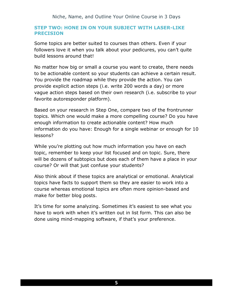#### **STEP TWO: HONE IN ON YOUR SUBJECT WITH LASER-LIKE PRECISION**

Some topics are better suited to courses than others. Even if your followers love it when you talk about your pedicures, you can't quite build lessons around that!

No matter how big or small a course you want to create, there needs to be actionable content so your students can achieve a certain result. You provide the roadmap while they provide the action. You can provide explicit action steps (i.e. write 200 words a day) or more vague action steps based on their own research (i.e. subscribe to your favorite autoresponder platform).

Based on your research in Step One, compare two of the frontrunner topics. Which one would make a more compelling course? Do you have enough information to create actionable content? How much information do you have: Enough for a single webinar or enough for 10 lessons?

While you're plotting out how much information you have on each topic, remember to keep your list focused and on topic. Sure, there will be dozens of subtopics but does each of them have a place in your course? Or will that just confuse your students?

Also think about if these topics are analytical or emotional. Analytical topics have facts to support them so they are easier to work into a course whereas emotional topics are often more opinion-based and make for better blog posts.

It's time for some analyzing. Sometimes it's easiest to see what you have to work with when it's written out in list form. This can also be done using mind-mapping software, if that's your preference.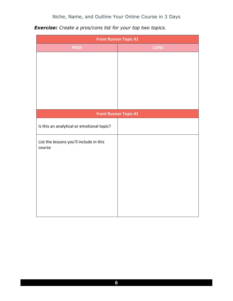| <b>Front Runner Topic #1</b>              |                              |  |
|-------------------------------------------|------------------------------|--|
| <b>PROS</b>                               | <b>CONS</b>                  |  |
|                                           |                              |  |
|                                           |                              |  |
|                                           |                              |  |
|                                           |                              |  |
|                                           |                              |  |
|                                           |                              |  |
|                                           |                              |  |
|                                           | <b>Front Runner Topic #1</b> |  |
| Is this an analytical or emotional topic? |                              |  |
| List the lessons you'll include in this   |                              |  |
| course                                    |                              |  |
|                                           |                              |  |
|                                           |                              |  |
|                                           |                              |  |
|                                           |                              |  |
|                                           |                              |  |
|                                           |                              |  |
|                                           |                              |  |

*Exercise: Create a pros/cons list for your top two topics.*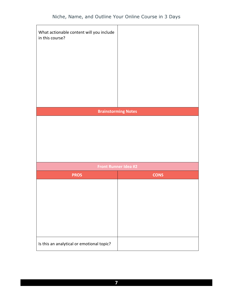| What actionable content will you include<br>in this course? |                             |
|-------------------------------------------------------------|-----------------------------|
|                                                             | <b>Brainstorming Notes</b>  |
|                                                             |                             |
|                                                             | <b>Front Runner Idea #2</b> |
| <b>PROS</b>                                                 | <b>CONS</b>                 |
|                                                             |                             |
| Is this an analytical or emotional topic?                   |                             |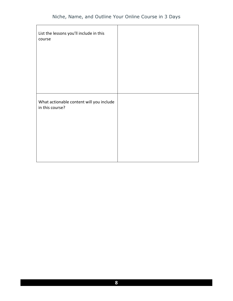| List the lessons you'll include in this<br>course           |  |
|-------------------------------------------------------------|--|
|                                                             |  |
|                                                             |  |
| What actionable content will you include<br>in this course? |  |
|                                                             |  |
|                                                             |  |
|                                                             |  |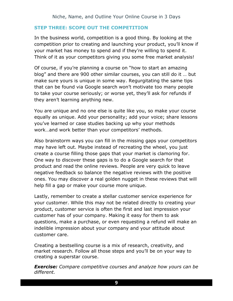#### **STEP THREE: SCOPE OUT THE COMPETITION**

In the business world, competition is a good thing. By looking at the competition prior to creating and launching your product, you'll know if your market has money to spend and if they're willing to spend it. Think of it as your competitors giving you some free market analysis!

Of course, if you're planning a course on "how to start an amazing blog" and there are 900 other similar courses, you can still do it … but make sure yours is unique in some way. Regurgitating the same tips that can be found via Google search won't motivate too many people to take your course seriously; or worse yet, they'll ask for refunds if they aren't learning anything new.

You are unique and no one else is quite like you, so make your course equally as unique. Add your personality; add your voice; share lessons you've learned or case studies backing up why your methods work…and work better than your competitors' methods.

Also brainstorm ways you can fill in the missing gaps your competitors may have left out. Maybe instead of recreating the wheel, you just create a course filling those gaps that your market is clamoring for. One way to discover these gaps is to do a Google search for that product and read the online reviews. People are very quick to leave negative feedback so balance the negative reviews with the positive ones. You may discover a real golden nugget in these reviews that will help fill a gap or make your course more unique.

Lastly, remember to create a stellar customer service experience for your customer. While this may not be related directly to creating your product, customer service is often the first and last impression your customer has of your company. Making it easy for them to ask questions, make a purchase, or even requesting a refund will make an indelible impression about your company and your attitude about customer care.

Creating a bestselling course is a mix of research, creativity, and market research. Follow all those steps and you'll be on your way to creating a superstar course.

*Exercise: Compare competitive courses and analyze how yours can be different.*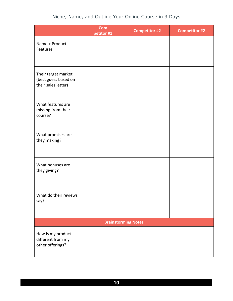|                                                                    | <b>Com</b><br>petitor #1   | <b>Competitor #2</b> | <b>Competitor #2</b> |
|--------------------------------------------------------------------|----------------------------|----------------------|----------------------|
| Name + Product<br>Features                                         |                            |                      |                      |
| Their target market<br>(best guess based on<br>their sales letter) |                            |                      |                      |
| What features are<br>missing from their<br>course?                 |                            |                      |                      |
| What promises are<br>they making?                                  |                            |                      |                      |
| What bonuses are<br>they giving?                                   |                            |                      |                      |
| What do their reviews<br>say?                                      |                            |                      |                      |
|                                                                    | <b>Brainstorming Notes</b> |                      |                      |
| How is my product<br>different from my<br>other offerings?         |                            |                      |                      |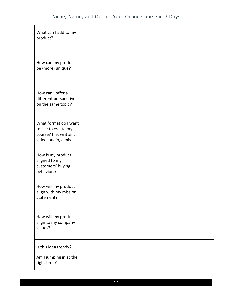| What can I add to my<br>product?                                                               |  |
|------------------------------------------------------------------------------------------------|--|
| How can my product<br>be (more) unique?                                                        |  |
| How can I offer a<br>different perspective<br>on the same topic?                               |  |
| What format do I want<br>to use to create my<br>course? (i.e. written,<br>video, audio, a mix) |  |
| How is my product<br>aligned to my<br>customers' buying<br>behaviors?                          |  |
| How will my product<br>align with my mission<br>statement?                                     |  |
| How will my product<br>align to my company<br>values?                                          |  |
| Is this idea trendy?<br>Am I jumping in at the<br>right time?                                  |  |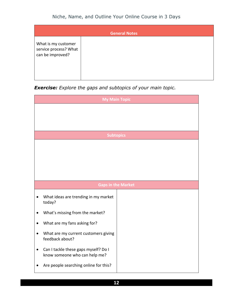| <b>General Notes</b>                                             |  |  |
|------------------------------------------------------------------|--|--|
| What is my customer<br>service process? What<br>can be improved? |  |  |

*Exercise: Explore the gaps and subtopics of your main topic.*

| <b>My Main Topic</b>                                                  |  |  |
|-----------------------------------------------------------------------|--|--|
|                                                                       |  |  |
|                                                                       |  |  |
| <b>Subtopics</b>                                                      |  |  |
|                                                                       |  |  |
|                                                                       |  |  |
|                                                                       |  |  |
| <b>Gaps in the Market</b>                                             |  |  |
| What ideas are trending in my market<br>today?                        |  |  |
| What's missing from the market?                                       |  |  |
| What are my fans asking for?                                          |  |  |
| What are my current customers giving<br>feedback about?               |  |  |
| Can I tackle these gaps myself? Do I<br>know someone who can help me? |  |  |
| Are people searching online for this?                                 |  |  |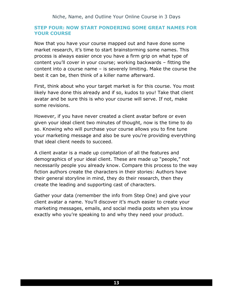#### **STEP FOUR: NOW START PONDERING SOME GREAT NAMES FOR YOUR COURSE**

Now that you have your course mapped out and have done some market research, it's time to start brainstorming some names. This process is always easier once you have a firm grip on what type of content you'll cover in your course; working backwards – fitting the content into a course name – is severely limiting. Make the course the best it can be, then think of a killer name afterward.

First, think about who your target market is for this course. You most likely have done this already and if so, kudos to you! Take that client avatar and be sure this is who your course will serve. If not, make some revisions.

However, if you have never created a client avatar before or even given your ideal client two minutes of thought, now is the time to do so. Knowing who will purchase your course allows you to fine tune your marketing message and also be sure you're providing everything that ideal client needs to succeed.

A client avatar is a made up compilation of all the features and demographics of your ideal client. These are made up "people," not necessarily people you already know. Compare this process to the way fiction authors create the characters in their stories: Authors have their general storyline in mind, they do their research, then they create the leading and supporting cast of characters.

Gather your data (remember the info from Step One) and give your client avatar a name. You'll discover it's much easier to create your marketing messages, emails, and social media posts when you know exactly who you're speaking to and why they need your product.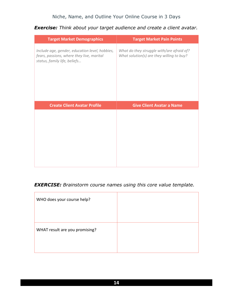#### *Exercise: Think about your target audience and create a client avatar.*

| <b>Target Market Demographics</b>                                                                                           | <b>Target Market Pain Points</b>                                                       |
|-----------------------------------------------------------------------------------------------------------------------------|----------------------------------------------------------------------------------------|
| Include age, gender, education level, hobbies,<br>fears, passions, where they live, marital<br>status, family life, beliefs | What do they struggle with/are afraid of?<br>What solution(s) are they willing to buy? |
| <b>Create Client Avatar Profile</b>                                                                                         | <b>Give Client Avatar a Name</b>                                                       |
|                                                                                                                             |                                                                                        |

#### *EXERCISE: Brainstorm course names using this core value template.*

| WHO does your course help?     |  |
|--------------------------------|--|
| WHAT result are you promising? |  |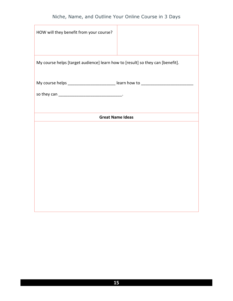| HOW will they benefit from your course?                                          |  |  |
|----------------------------------------------------------------------------------|--|--|
| My course helps [target audience] learn how to [result] so they can [benefit].   |  |  |
| My course helps ____________________________ learn how to ______________________ |  |  |
|                                                                                  |  |  |
|                                                                                  |  |  |
| <b>Great Name Ideas</b>                                                          |  |  |
|                                                                                  |  |  |
|                                                                                  |  |  |
|                                                                                  |  |  |
|                                                                                  |  |  |
|                                                                                  |  |  |
|                                                                                  |  |  |
|                                                                                  |  |  |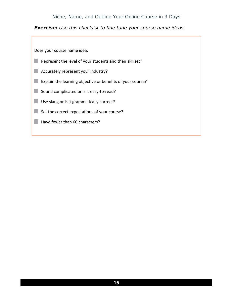*Exercise: Use this checklist to fine tune your course name ideas.*

Does your course name idea:

- Represent the level of your students and their skillset?
- **Accurately represent your industry?**
- Explain the learning objective or benefits of your course?
- Sound complicated or is it easy-to-read?
- Use slang or is it grammatically correct?
- Set the correct expectations of your course?
- $\blacksquare$  Have fewer than 60 characters?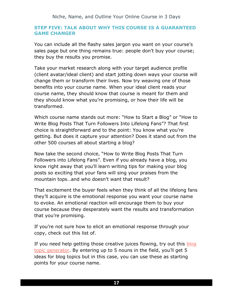#### **STEP FIVE: TALK ABOUT WHY THIS COURSE IS A GUARANTEED GAME CHANGER**

You can include all the flashy sales jargon you want on your course's sales page but one thing remains true: people don't buy your course; they buy the results you promise.

Take your market research along with your target audience profile (client avatar/ideal client) and start jotting down ways your course will change them or transform their lives. Now try weaving one of those benefits into your course name. When your ideal client reads your course name, they should know that course is meant for them and they should know what you're promising, or how their life will be transformed.

Which course name stands out more: "How to Start a Blog" or "How to Write Blog Posts That Turn Followers Into Lifelong Fans"? That first choice is straightforward and to the point: You know what you're getting. But does it capture your attention? Does it stand out from the other 500 courses all about starting a blog?

Now take the second choice, "How to Write Blog Posts That Turn Followers into Lifelong Fans". Even if you already have a blog, you know right away that you'll learn writing tips for making your blog posts so exciting that your fans will sing your praises from the mountain tops…and who doesn't want that result?

That excitement the buyer feels when they think of all the lifelong fans they'll acquire is the emotional response you want your course name to evoke. An emotional reaction will encourage them to buy your course because they desperately want the results and transformation that you're promising.

If you're not sure how to elicit an emotional response through your copy, check out this list of.

If you need help getting those creative juices flowing, try out this blog [topic generator](https://www.hubspot.com/blog-topic-generator). By entering up to 5 nouns in the field, you'll get 5 ideas for blog topics but in this case, you can use these as starting points for your course name.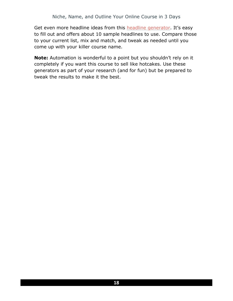Get even more headline ideas from this [headline generator](http://www.internetmarketingcourse.com/freeheadlinegenerator/). It's easy to fill out and offers about 10 sample headlines to use. Compare those to your current list, mix and match, and tweak as needed until you come up with your killer course name.

**Note:** Automation is wonderful to a point but you shouldn't rely on it completely if you want this course to sell like hotcakes. Use these generators as part of your research (and for fun) but be prepared to tweak the results to make it the best.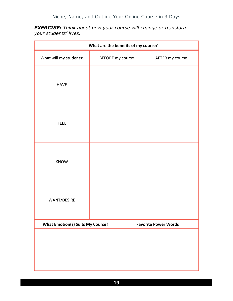*EXERCISE: Think about how your course will change or transform your students' lives.* 

| What are the benefits of my course?     |  |                  |                             |  |
|-----------------------------------------|--|------------------|-----------------------------|--|
| What will my students:                  |  | BEFORE my course | AFTER my course             |  |
| <b>HAVE</b>                             |  |                  |                             |  |
| <b>FEEL</b>                             |  |                  |                             |  |
| <b>KNOW</b>                             |  |                  |                             |  |
| WANT/DESIRE                             |  |                  |                             |  |
| <b>What Emotion(s) Suits My Course?</b> |  |                  | <b>Favorite Power Words</b> |  |
|                                         |  |                  |                             |  |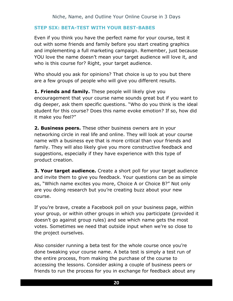#### **STEP SIX: BETA-TEST WITH YOUR BEST-BABES**

Even if you think you have the perfect name for your course, test it out with some friends and family before you start creating graphics and implementing a full marketing campaign. Remember, just because YOU love the name doesn't mean your target audience will love it, and who is this course for? Right, your target audience.

Who should you ask for opinions? That choice is up to you but there are a few groups of people who will give you different results.

**1. Friends and family.** These people will likely give you encouragement that your course name sounds great but if you want to dig deeper, ask them specific questions. "Who do you think is the ideal student for this course? Does this name evoke emotion? If so, how did it make you feel?"

**2. Business peers.** These other business owners are in your networking circle in real life and online. They will look at your course name with a business eye that is more critical than your friends and family. They will also likely give you more constructive feedback and suggestions, especially if they have experience with this type of product creation.

**3. Your target audience.** Create a short poll for your target audience and invite them to give you feedback. Your questions can be as simple as, "Which name excites you more, Choice A or Choice B?" Not only are you doing research but you're creating buzz about your new course.

If you're brave, create a Facebook poll on your business page, within your group, or within other groups in which you participate (provided it doesn't go against group rules) and see which name gets the most votes. Sometimes we need that outside input when we're so close to the project ourselves.

Also consider running a beta test for the whole course once you're done tweaking your course name. A beta test is simply a test run of the entire process, from making the purchase of the course to accessing the lessons. Consider asking a couple of business peers or friends to run the process for you in exchange for feedback about any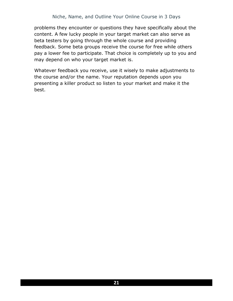problems they encounter or questions they have specifically about the content. A few lucky people in your target market can also serve as beta testers by going through the whole course and providing feedback. Some beta groups receive the course for free while others pay a lower fee to participate. That choice is completely up to you and may depend on who your target market is.

Whatever feedback you receive, use it wisely to make adjustments to the course and/or the name. Your reputation depends upon you presenting a killer product so listen to your market and make it the best.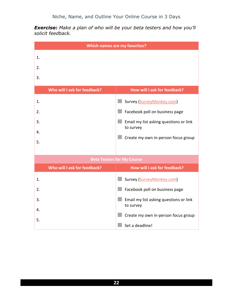*Exercise: Make a plan of who will be your beta testers and how you'll solicit feedback.*

| <b>Which names are my favorites?</b> |                              |                                                                                                                                                                              |  |
|--------------------------------------|------------------------------|------------------------------------------------------------------------------------------------------------------------------------------------------------------------------|--|
| 1.<br>2.<br>3.                       |                              |                                                                                                                                                                              |  |
|                                      | Who will I ask for feedback? | How will I ask for feedback?                                                                                                                                                 |  |
| 1.<br>2.<br>3.<br>4.<br>5.           |                              | Survey (SurveyMonkey.com)<br>Facebook poll on business page<br>Email my list asking questions or link<br>to survey<br>Create my own in-person focus group                    |  |
| <b>Beta Testers for My Course</b>    |                              |                                                                                                                                                                              |  |
|                                      | Who will I ask for feedback? | How will I ask for feedback?                                                                                                                                                 |  |
| 1.<br>2.<br>3.<br>4.<br>5.           |                              | Survey (SurveyMonkey.com)<br>Facebook poll on business page<br>Email my list asking questions or link<br>to survey<br>Create my own in-person focus group<br>Set a deadline! |  |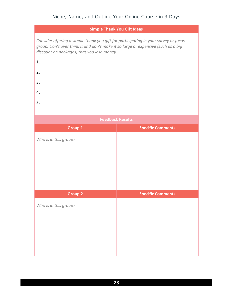| <b>Simple Thank You Gift Ideas</b>                                                                                                                                                                                     |                          |  |  |
|------------------------------------------------------------------------------------------------------------------------------------------------------------------------------------------------------------------------|--------------------------|--|--|
| Consider offering a simple thank you gift for participating in your survey or focus<br>group. Don't over think it and don't make it so large or expensive (such as a big<br>discount on packages) that you lose money. |                          |  |  |
| 1.                                                                                                                                                                                                                     |                          |  |  |
| 2.                                                                                                                                                                                                                     |                          |  |  |
| 3.                                                                                                                                                                                                                     |                          |  |  |
| 4.                                                                                                                                                                                                                     |                          |  |  |
| 5.                                                                                                                                                                                                                     |                          |  |  |
|                                                                                                                                                                                                                        |                          |  |  |
| <b>Feedback Results</b>                                                                                                                                                                                                |                          |  |  |
| Group 1                                                                                                                                                                                                                | <b>Specific Comments</b> |  |  |
| Who is in this group?                                                                                                                                                                                                  |                          |  |  |
|                                                                                                                                                                                                                        |                          |  |  |
|                                                                                                                                                                                                                        |                          |  |  |
|                                                                                                                                                                                                                        |                          |  |  |
|                                                                                                                                                                                                                        |                          |  |  |
| <b>Group 2</b>                                                                                                                                                                                                         | <b>Specific Comments</b> |  |  |
| Who is in this group?                                                                                                                                                                                                  |                          |  |  |
|                                                                                                                                                                                                                        |                          |  |  |
|                                                                                                                                                                                                                        |                          |  |  |
|                                                                                                                                                                                                                        |                          |  |  |
|                                                                                                                                                                                                                        |                          |  |  |
|                                                                                                                                                                                                                        |                          |  |  |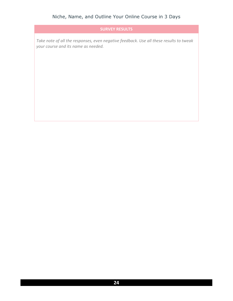#### **SURVEY RESULTS**

*Take note of all the responses, even negative feedback. Use all these results to tweak your course and its name as needed.*